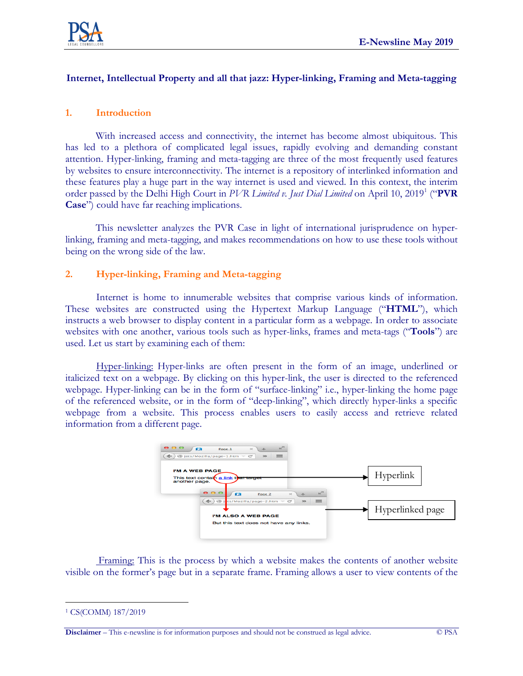

### **Internet, Intellectual Property and all that jazz: Hyper-linking, Framing and Meta-tagging**

### **1. Introduction**

With increased access and connectivity, the internet has become almost ubiquitous. This has led to a plethora of complicated legal issues, rapidly evolving and demanding constant attention. Hyper-linking, framing and meta-tagging are three of the most frequently used features by websites to ensure interconnectivity. The internet is a repository of interlinked information and these features play a huge part in the way internet is used and viewed. In this context, the interim order passed by the Delhi High Court in *PVR Limited v. Just Dial Limited* on April 10, 2019<sup>1</sup> ("**PVR Case**") could have far reaching implications.

This newsletter analyzes the PVR Case in light of international jurisprudence on hyperlinking, framing and meta-tagging, and makes recommendations on how to use these tools without being on the wrong side of the law.

#### **2. Hyper-linking, Framing and Meta-tagging**

Internet is home to innumerable websites that comprise various kinds of information. These websites are constructed using the Hypertext Markup Language ("**HTML**"), which instructs a web browser to display content in a particular form as a webpage. In order to associate websites with one another, various tools such as hyper-links, frames and meta-tags ("**Tools**") are used. Let us start by examining each of them:

Hyper-linking: Hyper-links are often present in the form of an image, underlined or italicized text on a webpage. By clicking on this hyper-link, the user is directed to the referenced webpage. Hyper-linking can be in the form of "surface-linking" i.e., hyper-linking the home page of the referenced website, or in the form of "deep-linking", which directly hyper-links a specific webpage from a website. This process enables users to easily access and retrieve related information from a different page.



Framing: This is the process by which a website makes the contents of another website visible on the former's page but in a separate frame. Framing allows a user to view contents of the

**Disclaimer** – This e-newsline is for information purposes and should not be construed as legal advice. © PSA

 $\overline{a}$ <sup>1</sup> CS(COMM) 187/2019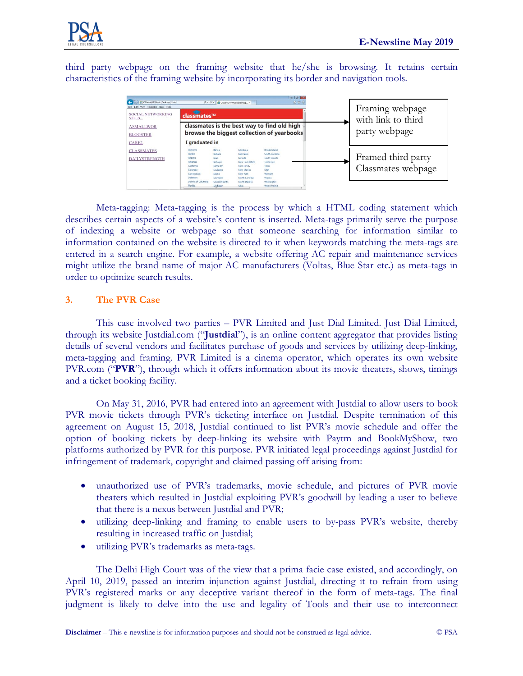

third party webpage on the framing website that he/she is browsing. It retains certain characteristics of the framing website by incorporating its border and navigation tools.



Meta-tagging: Meta-tagging is the process by which a HTML coding statement which describes certain aspects of a website's content is inserted. Meta-tags primarily serve the purpose of indexing a website or webpage so that someone searching for information similar to information contained on the website is directed to it when keywords matching the meta-tags are entered in a search engine. For example, a website offering AC repair and maintenance services might utilize the brand name of major AC manufacturers (Voltas, Blue Star etc.) as meta-tags in order to optimize search results.

### **3. The PVR Case**

This case involved two parties – PVR Limited and Just Dial Limited. Just Dial Limited, through its website Justdial.com ("**Justdial**"), is an online content aggregator that provides listing details of several vendors and facilitates purchase of goods and services by utilizing deep-linking, meta-tagging and framing. PVR Limited is a cinema operator, which operates its own website PVR.com ("**PVR**"), through which it offers information about its movie theaters, shows, timings and a ticket booking facility.

On May 31, 2016, PVR had entered into an agreement with Justdial to allow users to book PVR movie tickets through PVR's ticketing interface on Justdial. Despite termination of this agreement on August 15, 2018, Justdial continued to list PVR's movie schedule and offer the option of booking tickets by deep-linking its website with Paytm and BookMyShow, two platforms authorized by PVR for this purpose. PVR initiated legal proceedings against Justdial for infringement of trademark, copyright and claimed passing off arising from:

- unauthorized use of PVR's trademarks, movie schedule, and pictures of PVR movie theaters which resulted in Justdial exploiting PVR's goodwill by leading a user to believe that there is a nexus between Justdial and PVR;
- utilizing deep-linking and framing to enable users to by-pass PVR's website, thereby resulting in increased traffic on Justdial;
- utilizing PVR's trademarks as meta-tags.

The Delhi High Court was of the view that a prima facie case existed, and accordingly, on April 10, 2019, passed an interim injunction against Justdial, directing it to refrain from using PVR's registered marks or any deceptive variant thereof in the form of meta-tags. The final judgment is likely to delve into the use and legality of Tools and their use to interconnect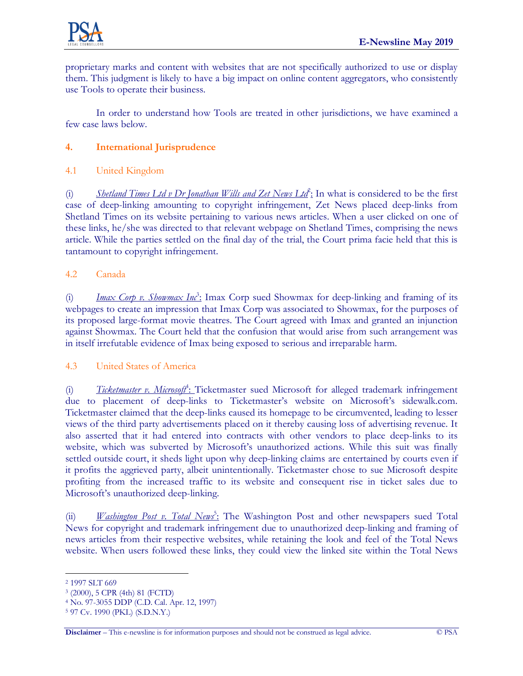

proprietary marks and content with websites that are not specifically authorized to use or display them. This judgment is likely to have a big impact on online content aggregators, who consistently use Tools to operate their business.

In order to understand how Tools are treated in other jurisdictions, we have examined a few case laws below.

# **4. International Jurisprudence**

# 4.1 United Kingdom

(i) *Shetland Times Ltd v Dr Jonathan Wills and Zet News Ltd*<sup>2</sup> : In what is considered to be the first case of deep-linking amounting to copyright infringement, Zet News placed deep-links from Shetland Times on its website pertaining to various news articles. When a user clicked on one of these links, he/she was directed to that relevant webpage on Shetland Times, comprising the news article. While the parties settled on the final day of the trial, the Court prima facie held that this is tantamount to copyright infringement.

# 4.2 Canada

(i) *Imax Corp v. Showmax Inc*<sup>3</sup> : Imax Corp sued Showmax for deep-linking and framing of its webpages to create an impression that Imax Corp was associated to Showmax, for the purposes of its proposed large-format movie theatres. The Court agreed with Imax and granted an injunction against Showmax. The Court held that the confusion that would arise from such arrangement was in itself irrefutable evidence of Imax being exposed to serious and irreparable harm.

### 4.3 United States of America

(i) *Ticketmaster v. Microsoft*<sup>4</sup> : Ticketmaster sued Microsoft for alleged trademark infringement due to placement of deep-links to Ticketmaster's website on Microsoft's sidewalk.com. Ticketmaster claimed that the deep-links caused its homepage to be circumvented, leading to lesser views of the third party advertisements placed on it thereby causing loss of advertising revenue. It also asserted that it had entered into contracts with other vendors to place deep-links to its website, which was subverted by Microsoft's unauthorized actions. While this suit was finally settled outside court, it sheds light upon why deep-linking claims are entertained by courts even if it profits the aggrieved party, albeit unintentionally. Ticketmaster chose to sue Microsoft despite profiting from the increased traffic to its website and consequent rise in ticket sales due to Microsoft's unauthorized deep-linking.

(ii) *Washington Post v. Total News<sup>5</sup>*: The Washington Post and other newspapers sued Total News for copyright and trademark infringement due to unauthorized deep-linking and framing of news articles from their respective websites, while retaining the look and feel of the Total News website. When users followed these links, they could view the linked site within the Total News

 $\overline{a}$ 

<sup>2</sup> 1997 SLT 669

<sup>3</sup> (2000), 5 CPR (4th) 81 (FCTD)

<sup>4</sup> No. 97-3055 DDP (C.D. Cal. Apr. 12, 1997)

<sup>5</sup> 97 Cv. 1990 (PKL) (S.D.N.Y.)

**Disclaimer** – This e-newsline is for information purposes and should not be construed as legal advice. © PSA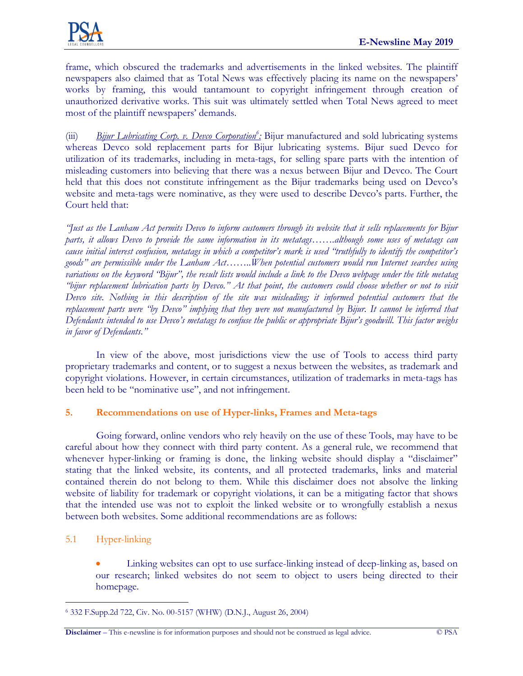

frame, which obscured the trademarks and advertisements in the linked websites. The plaintiff newspapers also claimed that as Total News was effectively placing its name on the newspapers' works by framing, this would tantamount to copyright infringement through creation of unauthorized derivative works. This suit was ultimately settled when Total News agreed to meet most of the plaintiff newspapers' demands.

(iii) *Bijur Lubricating Corp. v. Devco Corporation<sup>6</sup> :* Bijur manufactured and sold lubricating systems whereas Devco sold replacement parts for Bijur lubricating systems. Bijur sued Devco for utilization of its trademarks, including in meta-tags, for selling spare parts with the intention of misleading customers into believing that there was a nexus between Bijur and Devco. The Court held that this does not constitute infringement as the Bijur trademarks being used on Devco's website and meta-tags were nominative, as they were used to describe Devco's parts. Further, the Court held that:

"Just as the Lanham Act permits Devco to inform customers through its website that it sells replacements for Bijur parts, it allows Devco to provide the same information in its metatags.......although some uses of metatags can cause initial interest confusion, metatags in which a competitor's mark is used "truthfully to identify the competitor's *goods" are permissible under the Lanham Act……..When potential customers would run Internet searches using* variations on the keyword "Bijur", the result lists would include a link to the Devco webpage under the title metatag "bijur replacement lubrication parts by Devco." At that point, the customers could choose whether or not to visit Devco site. Nothing in this description of the site was misleading; it informed potential customers that the replacement parts were "by Devco" implying that they were not manufactured by Bijur. It cannot be inferred that Defendants intended to use Devco's metatags to confuse the public or appropriate Bijur's goodwill. This factor weighs *in favor of Defendants."*

In view of the above, most jurisdictions view the use of Tools to access third party proprietary trademarks and content, or to suggest a nexus between the websites, as trademark and copyright violations. However, in certain circumstances, utilization of trademarks in meta-tags has been held to be "nominative use", and not infringement.

### **5. Recommendations on use of Hyper-links, Frames and Meta-tags**

Going forward, online vendors who rely heavily on the use of these Tools, may have to be careful about how they connect with third party content. As a general rule, we recommend that whenever hyper-linking or framing is done, the linking website should display a "disclaimer" stating that the linked website, its contents, and all protected trademarks, links and material contained therein do not belong to them. While this disclaimer does not absolve the linking website of liability for trademark or copyright violations, it can be a mitigating factor that shows that the intended use was not to exploit the linked website or to wrongfully establish a nexus between both websites. Some additional recommendations are as follows:

### 5.1 Hyper-linking

 Linking websites can opt to use surface-linking instead of deep-linking as, based on our research; linked websites do not seem to object to users being directed to their homepage.

 $\overline{a}$ <sup>6</sup> 332 F.Supp.2d 722, Civ. No. 00-5157 (WHW) (D.N.J., August 26, 2004)